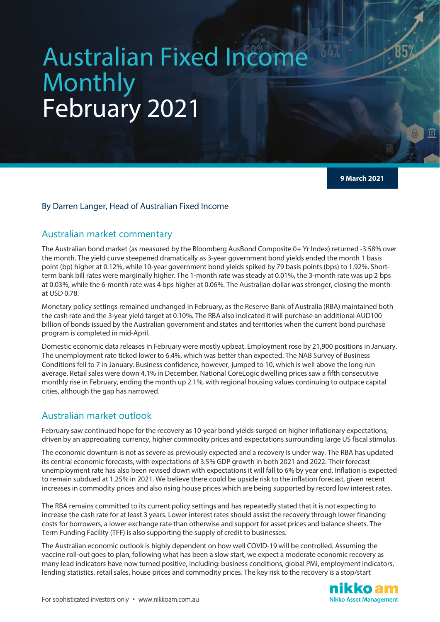# Australian Fixed Income Monthly February 2021

**9 March 2021**

### By Darren Langer, Head of Australian Fixed Income

## Australian market commentary

The Australian bond market (as measured by the Bloomberg AusBond Composite 0+ Yr Index) returned -3.58% over the month. The yield curve steepened dramatically as 3-year government bond yields ended the month 1 basis point (bp) higher at 0.12%, while 10-year government bond yields spiked by 79 basis points (bps) to 1.92%. Shortterm bank bill rates were marginally higher. The 1-month rate was steady at 0.01%, the 3-month rate was up 2 bps at 0.03%, while the 6-month rate was 4 bps higher at 0.06%. The Australian dollar was stronger, closing the month at USD 0.78.

Monetary policy settings remained unchanged in February, as the Reserve Bank of Australia (RBA) maintained both the cash rate and the 3-year yield target at 0.10%. The RBA also indicated it will purchase an additional AUD100 billion of bonds issued by the Australian government and states and territories when the current bond purchase program is completed in mid-April.

Domestic economic data releases in February were mostly upbeat. Employment rose by 21,900 positions in January. The unemployment rate ticked lower to 6.4%, which was better than expected. The NAB Survey of Business Conditions fell to 7 in January. Business confidence, however, jumped to 10, which is well above the long run average. Retail sales were down 4.1% in December. National CoreLogic dwelling prices saw a fifth consecutive monthly rise in February, ending the month up 2.1%, with regional housing values continuing to outpace capital cities, although the gap has narrowed.

## Australian market outlook

February saw continued hope for the recovery as 10-year bond yields surged on higher inflationary expectations, driven by an appreciating currency, higher commodity prices and expectations surrounding large US fiscal stimulus.

The economic downturn is not as severe as previously expected and a recovery is under way. The RBA has updated its central economic forecasts, with expectations of 3.5% GDP growth in both 2021 and 2022. Their forecast unemployment rate has also been revised down with expectations it will fall to 6% by year end. Inflation is expected to remain subdued at 1.25% in 2021. We believe there could be upside risk to the inflation forecast, given recent increases in commodity prices and also rising house prices which are being supported by record low interest rates.

The RBA remains committed to its current policy settings and has repeatedly stated that it is not expecting to increase the cash rate for at least 3 years. Lower interest rates should assist the recovery through lower financing costs for borrowers, a lower exchange rate than otherwise and support for asset prices and balance sheets. The Term Funding Facility (TFF) is also supporting the supply of credit to businesses.

The Australian economic outlook is highly dependent on how well COVID-19 will be controlled. Assuming the vaccine roll-out goes to plan, following what has been a slow start, we expect a moderate economic recovery as many lead indicators have now turned positive, including: business conditions, global PMI, employment indicators, lending statistics, retail sales, house prices and commodity prices. The key risk to the recovery is a stop/start

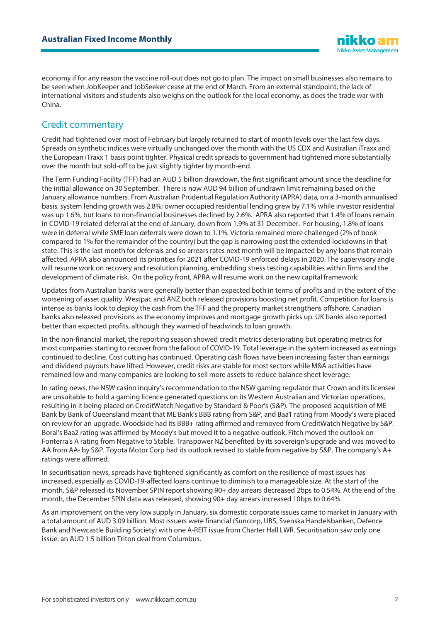economy if for any reason the vaccine roll-out does not go to plan. The impact on small businesses also remains to be seen when JobKeeper and JobSeeker cease at the end of March. From an external standpoint, the lack of international visitors and students also weighs on the outlook for the local economy, as does the trade war with China.

## Credit commentary

Credit had tightened over most of February but largely returned to start of month levels over the last few days. Spreads on synthetic indices were virtually unchanged over the month with the US CDX and Australian iTraxx and the European iTraxx 1 basis point tighter. Physical credit spreads to government had tightened more substantially over the month but sold-off to be just slightly tighter by month-end.

The Term Funding Facility (TFF) had an AUD 5 billion drawdown, the first significant amount since the deadline for the initial allowance on 30 September. There is now AUD 94 billion of undrawn limit remaining based on the January allowance numbers. From Australian Prudential Regulation Authority (APRA) data, on a 3-month annualised basis, system lending growth was 2.8%; owner occupied residential lending grew by 7.1% while investor residential was up 1.6%, but loans to non-financial businesses declined by 2.6%. APRA also reported that 1.4% of loans remain in COVID-19 related deferral at the end of January, down from 1.9% at 31 December. For housing, 1.8% of loans were in deferral while SME loan deferrals were down to 1.1%. Victoria remained more challenged (2% of book compared to 1% for the remainder of the country) but the gap is narrowing post the extended lockdowns in that state. This is the last month for deferrals and so arrears rates next month will be impacted by any loans that remain affected. APRA also announced its priorities for 2021 after COVID-19 enforced delays in 2020. The supervisory angle will resume work on recovery and resolution planning, embedding stress testing capabilities within firms and the development of climate risk. On the policy front, APRA will resume work on the new capital framework.

Updates from Australian banks were generally better than expected both in terms of profits and in the extent of the worsening of asset quality. Westpac and ANZ both released provisions boosting net profit. Competition for loans is intense as banks look to deploy the cash from the TFF and the property market strengthens offshore. Canadian banks also released provisions as the economy improves and mortgage growth picks up. UK banks also reported better than expected profits, although they warned of headwinds to loan growth.

In the non-financial market, the reporting season showed credit metrics deteriorating but operating metrics for most companies starting to recover from the fallout of COVID-19. Total leverage in the system increased as earnings continued to decline. Cost cutting has continued. Operating cash flows have been increasing faster than earnings and dividend payouts have lifted. However, credit risks are stable for most sectors while M&A activities have remained low and many companies are looking to sell more assets to reduce balance sheet leverage.

In rating news, the NSW casino inquiry's recommendation to the NSW gaming regulator that Crown and its licensee are unsuitable to hold a gaming licence generated questions on its Western Australian and Victorian operations, resulting in it being placed on CreditWatch Negative by Standard & Poor's (S&P). The proposed acquisition of ME Bank by Bank of Queensland meant that ME Bank's BBB rating from S&P, and Baa1 rating from Moody's were placed on review for an upgrade. Woodside had its BBB+ rating affirmed and removed from CreditWatch Negative by S&P. Boral's Baa2 rating was affirmed by Moody's but moved it to a negative outlook. Fitch moved the outlook on Fonterra's A rating from Negative to Stable. Transpower NZ benefited by its sovereign's upgrade and was moved to AA from AA- by S&P. Toyota Motor Corp had its outlook revised to stable from negative by S&P. The company's A+ ratings were affirmed.

In securitisation news, spreads have tightened significantly as comfort on the resilience of most issues has increased, especially as COVID-19-affected loans continue to diminish to a manageable size. At the start of the month, S&P released its November SPIN report showing 90+ day arrears decreased 2bps to 0.54%. At the end of the month, the December SPIN data was released, showing 90+ day arrears increased 10bps to 0.64%.

As an improvement on the very low supply in January, six domestic corporate issues came to market in January with a total amount of AUD 3.09 billion. Most issuers were financial (Suncorp, UBS, Svenska Handelsbanken, Defence Bank and Newcastle Building Society) with one A-REIT issue from Charter Hall LWR. Securitisation saw only one issue: an AUD 1.5 billion Triton deal from Columbus.

iikko al **Nikko Asset Management**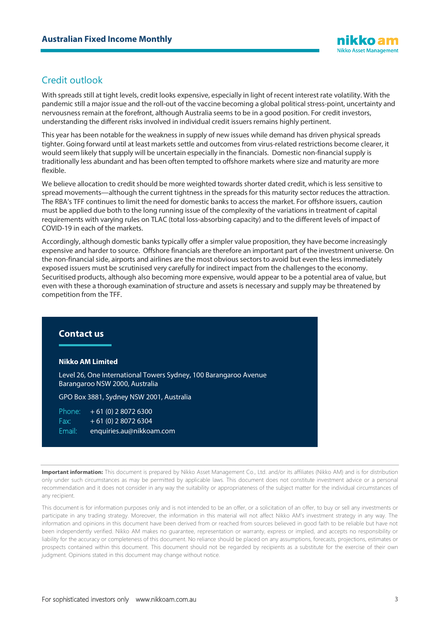## Credit outlook

With spreads still at tight levels, credit looks expensive, especially in light of recent interest rate volatility. With the pandemic still a major issue and the roll-out of the vaccine becoming a global political stress-point, uncertainty and nervousness remain at the forefront, although Australia seems to be in a good position. For credit investors, understanding the different risks involved in individual credit issuers remains highly pertinent.

This year has been notable for the weakness in supply of new issues while demand has driven physical spreads tighter. Going forward until at least markets settle and outcomes from virus-related restrictions become clearer, it would seem likely that supply will be uncertain especially in the financials. Domestic non-financial supply is traditionally less abundant and has been often tempted to offshore markets where size and maturity are more flexible.

We believe allocation to credit should be more weighted towards shorter dated credit, which is less sensitive to spread movements—although the current tightness in the spreads for this maturity sector reduces the attraction. The RBA's TFF continues to limit the need for domestic banks to access the market. For offshore issuers, caution must be applied due both to the long running issue of the complexity of the variations in treatment of capital requirements with varying rules on TLAC (total loss-absorbing capacity) and to the different levels of impact of COVID-19 in each of the markets.

Accordingly, although domestic banks typically offer a simpler value proposition, they have become increasingly expensive and harder to source. Offshore financials are therefore an important part of the investment universe. On the non-financial side, airports and airlines are the most obvious sectors to avoid but even the less immediately exposed issuers must be scrutinised very carefully for indirect impact from the challenges to the economy. Securitised products, although also becoming more expensive, would appear to be a potential area of value, but even with these a thorough examination of structure and assets is necessary and supply may be threatened by competition from the TFF.

#### **Contact us**

#### **Nikko AM Limited**

Level 26, One International Towers Sydney, 100 Barangaroo Avenue Barangaroo NSW 2000, Australia

GPO Box 3881, Sydney NSW 2001, Australia

| Phone: | $+61(0)$ 2 8072 6300     |
|--------|--------------------------|
| Fax:   | $+61(0)$ 2 8072 6304     |
| Email: | enquiries.au@nikkoam.com |

Important information: This document is prepared by Nikko Asset Management Co., Ltd. and/or its affiliates (Nikko AM) and is for distribution only under such circumstances as may be permitted by applicable laws. This document does not constitute investment advice or a personal recommendation and it does not consider in any way the suitability or appropriateness of the subject matter for the individual circumstances of any recipient.

This document is for information purposes only and is not intended to be an offer, or a solicitation of an offer, to buy or sell any investments or participate in any trading strategy. Moreover, the information in this material will not affect Nikko AM's investment strategy in any way. The information and opinions in this document have been derived from or reached from sources believed in good faith to be reliable but have not been independently verified. Nikko AM makes no guarantee, representation or warranty, express or implied, and accepts no responsibility or liability for the accuracy or completeness of this document. No reliance should be placed on any assumptions, forecasts, projections, estimates or prospects contained within this document. This document should not be regarded by recipients as a substitute for the exercise of their own judgment. Opinions stated in this document may change without notice.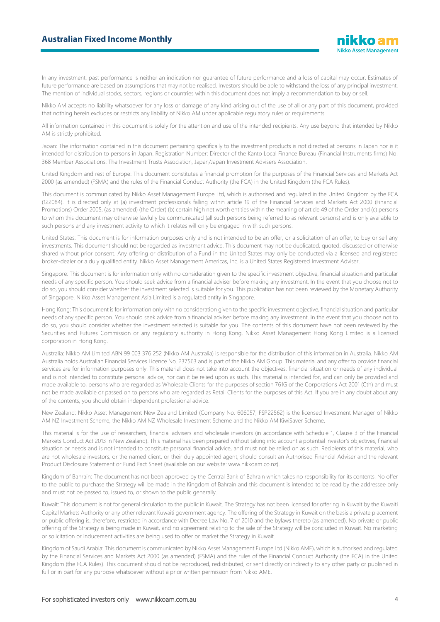In any investment, past performance is neither an indication nor guarantee of future performance and a loss of capital may occur. Estimates of future performance are based on assumptions that may not be realised. Investors should be able to withstand the loss of any principal investment. The mention of individual stocks, sectors, regions or countries within this document does not imply a recommendation to buy or sell.

Nikko AM accepts no liability whatsoever for any loss or damage of any kind arising out of the use of all or any part of this document, provided that nothing herein excludes or restricts any liability of Nikko AM under applicable regulatory rules or requirements.

All information contained in this document is solely for the attention and use of the intended recipients. Any use beyond that intended by Nikko AM is strictly prohibited.

Japan: The information contained in this document pertaining specifically to the investment products is not directed at persons in Japan nor is it intended for distribution to persons in Japan. Registration Number: Director of the Kanto Local Finance Bureau (Financial Instruments firms) No. 368 Member Associations: The Investment Trusts Association, Japan/Japan Investment Advisers Association.

United Kingdom and rest of Europe: This document constitutes a financial promotion for the purposes of the Financial Services and Markets Act 2000 (as amended) (FSMA) and the rules of the Financial Conduct Authority (the FCA) in the United Kingdom (the FCA Rules).

This document is communicated by Nikko Asset Management Europe Ltd, which is authorised and regulated in the United Kingdom by the FCA (122084). It is directed only at (a) investment professionals falling within article 19 of the Financial Services and Markets Act 2000 (Financial Promotions) Order 2005, (as amended) (the Order) (b) certain high net worth entities within the meaning of article 49 of the Order and (c) persons to whom this document may otherwise lawfully be communicated (all such persons being referred to as relevant persons) and is only available to such persons and any investment activity to which it relates will only be engaged in with such persons.

United States: This document is for information purposes only and is not intended to be an offer, or a solicitation of an offer, to buy or sell any investments. This document should not be regarded as investment advice. This document may not be duplicated, quoted, discussed or otherwise shared without prior consent. Any offering or distribution of a Fund in the United States may only be conducted via a licensed and registered broker-dealer or a duly qualified entity. Nikko Asset Management Americas, Inc. is a United States Registered Investment Adviser.

Singapore: This document is for information only with no consideration given to the specific investment objective, financial situation and particular needs of any specific person. You should seek advice from a financial adviser before making any investment. In the event that you choose not to do so, you should consider whether the investment selected is suitable for you. This publication has not been reviewed by the Monetary Authority of Singapore. Nikko Asset Management Asia Limited is a regulated entity in Singapore.

Hong Kong: This document is for information only with no consideration given to the specific investment objective, financial situation and particular needs of any specific person. You should seek advice from a financial adviser before making any investment. In the event that you choose not to do so, you should consider whether the investment selected is suitable for you. The contents of this document have not been reviewed by the Securities and Futures Commission or any regulatory authority in Hong Kong. Nikko Asset Management Hong Kong Limited is a licensed corporation in Hong Kong.

Australia: Nikko AM Limited ABN 99 003 376 252 (Nikko AM Australia) is responsible for the distribution of this information in Australia. Nikko AM Australia holds Australian Financial Services Licence No. 237563 and is part of the Nikko AM Group. This material and any offer to provide financial services are for information purposes only. This material does not take into account the objectives, financial situation or needs of any individual and is not intended to constitute personal advice, nor can it be relied upon as such. This material is intended for, and can only be provided and made available to, persons who are regarded as Wholesale Clients for the purposes of section 761G of the Corporations Act 2001 (Cth) and must not be made available or passed on to persons who are regarded as Retail Clients for the purposes of this Act. If you are in any doubt about any of the contents, you should obtain independent professional advice.

New Zealand: Nikko Asset Management New Zealand Limited (Company No. 606057, FSP22562) is the licensed Investment Manager of Nikko AM NZ Investment Scheme, the Nikko AM NZ Wholesale Investment Scheme and the Nikko AM KiwiSaver Scheme.

This material is for the use of researchers, financial advisers and wholesale investors (in accordance with Schedule 1, Clause 3 of the Financial Markets Conduct Act 2013 in New Zealand). This material has been prepared without taking into account a potential investor's objectives, financial situation or needs and is not intended to constitute personal financial advice, and must not be relied on as such. Recipients of this material, who are not wholesale investors, or the named client, or their duly appointed agent, should consult an Authorised Financial Adviser and the relevant Product Disclosure Statement or Fund Fact Sheet (available on our website: www.nikkoam.co.nz).

Kingdom of Bahrain: The document has not been approved by the Central Bank of Bahrain which takes no responsibility for its contents. No offer to the public to purchase the Strategy will be made in the Kingdom of Bahrain and this document is intended to be read by the addressee only and must not be passed to, issued to, or shown to the public generally.

Kuwait: This document is not for general circulation to the public in Kuwait. The Strategy has not been licensed for offering in Kuwait by the Kuwaiti Capital Markets Authority or any other relevant Kuwaiti government agency. The offering of the Strategy in Kuwait on the basis a private placement or public offering is, therefore, restricted in accordance with Decree Law No. 7 of 2010 and the bylaws thereto (as amended). No private or public offering of the Strategy is being made in Kuwait, and no agreement relating to the sale of the Strategy will be concluded in Kuwait. No marketing or solicitation or inducement activities are being used to offer or market the Strategy in Kuwait.

Kingdom of Saudi Arabia: This document is communicated by Nikko Asset Management Europe Ltd (Nikko AME), which is authorised and regulated by the Financial Services and Markets Act 2000 (as amended) (FSMA) and the rules of the Financial Conduct Authority (the FCA) in the United Kingdom (the FCA Rules). This document should not be reproduced, redistributed, or sent directly or indirectly to any other party or published in full or in part for any purpose whatsoever without a prior written permission from Nikko AME.